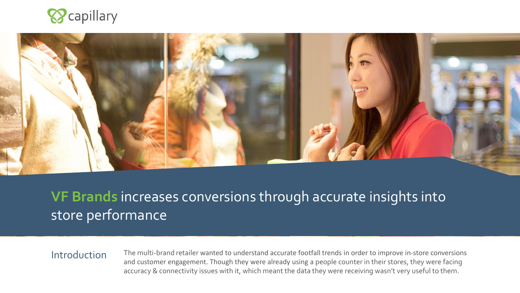



# **VF Brands** increases conversions through accurate insights into store performance

#### **Introduction**

The multi-brand retailer wanted to understand accurate footfall trends in order to improve in-store conversions and customer engagement. Though they were already using a people counter in their stores, they were facing accuracy & connectivity issues with it, which meant the data they were receiving wasn't very useful to them.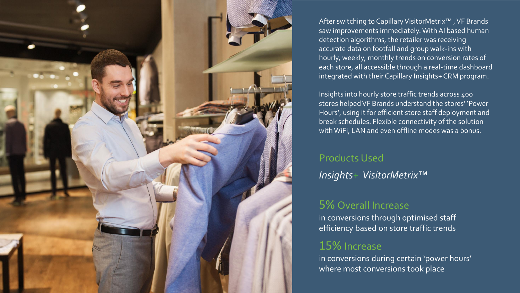

After switching to Capillary VisitorMetrix™ , VF Brands saw improvements immediately. With AI based human detection algorithms, the retailer was receiving accurate data on footfall and group walk-ins with hourly, weekly, monthly trends on conversion rates of each store, all accessible through a real-time dashboard integrated with their Capillary Insights+ CRM program.

Insights into hourly store traffic trends across 400 stores helped VF Brands understand the stores' 'Power Hours', using it for efficient store staff deployment and break schedules. Flexible connectivity of the solution with WiFi, LAN and even offline modes was a bonus.

#### Products Used

*Insights+ VisitorMetrix™*

# 5% Overall Increase

in conversions through optimised staff efficiency based on store traffic trends

# 15% Increase

in conversions during certain 'power hours' where most conversions took place